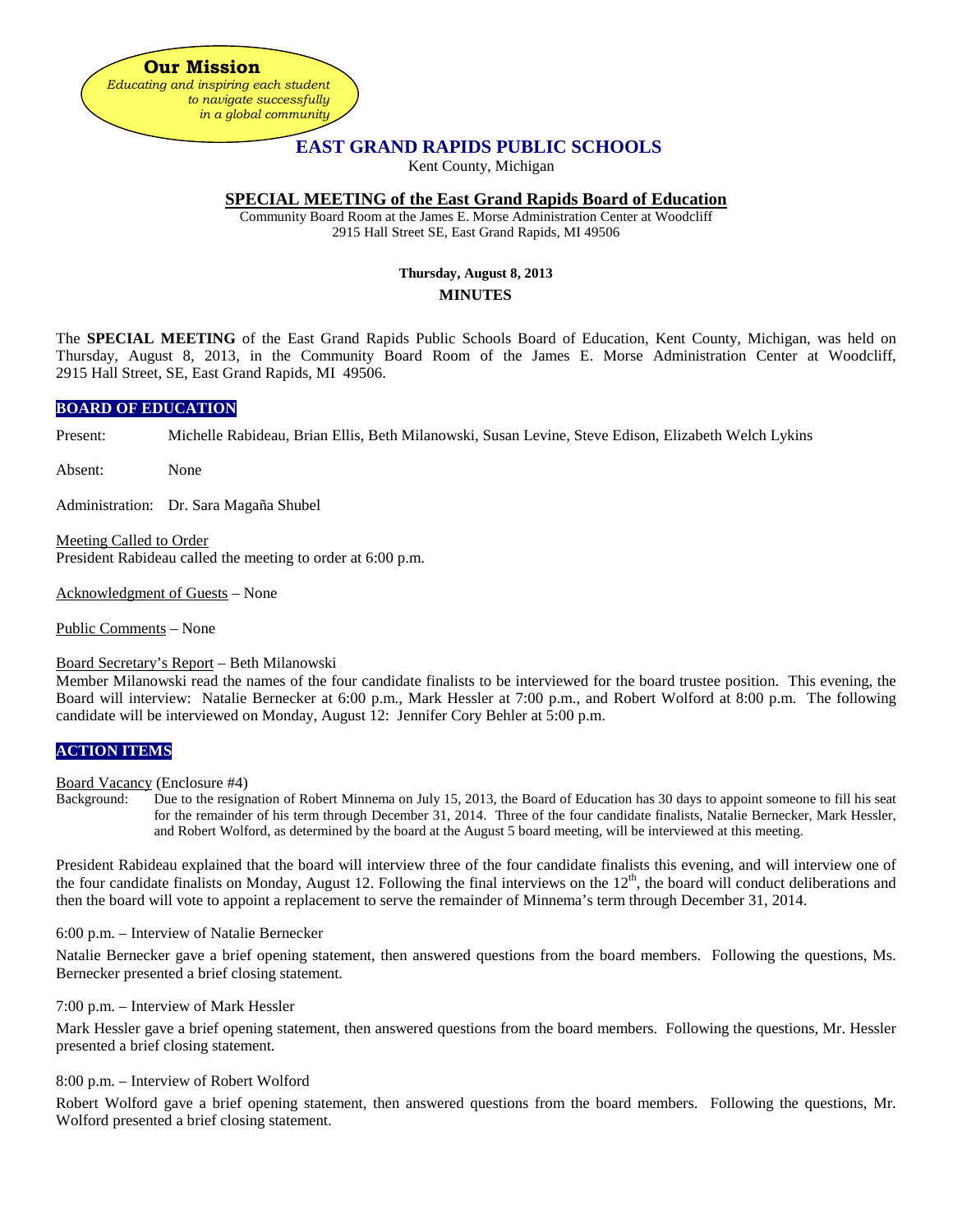**Our Mission** *Educating and inspiring each student to navigate successfully in a global community*

# **EAST GRAND RAPIDS PUBLIC SCHOOLS**

Kent County, Michigan

### **SPECIAL MEETING of the East Grand Rapids Board of Education**

Community Board Room at the James E. Morse Administration Center at Woodcliff 2915 Hall Street SE, East Grand Rapids, MI 49506

## **Thursday, August 8, 2013 MINUTES**

The **SPECIAL MEETING** of the East Grand Rapids Public Schools Board of Education, Kent County, Michigan, was held on Thursday, August 8, 2013, in the Community Board Room of the James E. Morse Administration Center at Woodcliff, 2915 Hall Street, SE, East Grand Rapids, MI 49506.

### **BOARD OF EDUCATION**

Present: Michelle Rabideau, Brian Ellis, Beth Milanowski, Susan Levine, Steve Edison, Elizabeth Welch Lykins

Absent: None

Administration: Dr. Sara Magaña Shubel

Meeting Called to Order President Rabideau called the meeting to order at 6:00 p.m.

Acknowledgment of Guests – None

Public Comments – None

#### Board Secretary's Report – Beth Milanowski

Member Milanowski read the names of the four candidate finalists to be interviewed for the board trustee position. This evening, the Board will interview: Natalie Bernecker at 6:00 p.m., Mark Hessler at 7:00 p.m., and Robert Wolford at 8:00 p.m. The following candidate will be interviewed on Monday, August 12: Jennifer Cory Behler at 5:00 p.m.

### **ACTION ITEMS**

Board Vacancy (Enclosure #4)

Background: Due to the resignation of Robert Minnema on July 15, 2013, the Board of Education has 30 days to appoint someone to fill his seat for the remainder of his term through December 31, 2014. Three of the four candidate finalists, Natalie Bernecker, Mark Hessler, and Robert Wolford, as determined by the board at the August 5 board meeting, will be interviewed at this meeting.

President Rabideau explained that the board will interview three of the four candidate finalists this evening, and will interview one of the four candidate finalists on Monday, August 12. Following the final interviews on the  $12<sup>th</sup>$ , the board will conduct deliberations and then the board will vote to appoint a replacement to serve the remainder of Minnema's term through December 31, 2014.

6:00 p.m. – Interview of Natalie Bernecker

Natalie Bernecker gave a brief opening statement, then answered questions from the board members. Following the questions, Ms. Bernecker presented a brief closing statement.

7:00 p.m. – Interview of Mark Hessler

Mark Hessler gave a brief opening statement, then answered questions from the board members. Following the questions, Mr. Hessler presented a brief closing statement.

#### 8:00 p.m. – Interview of Robert Wolford

Robert Wolford gave a brief opening statement, then answered questions from the board members. Following the questions, Mr. Wolford presented a brief closing statement.